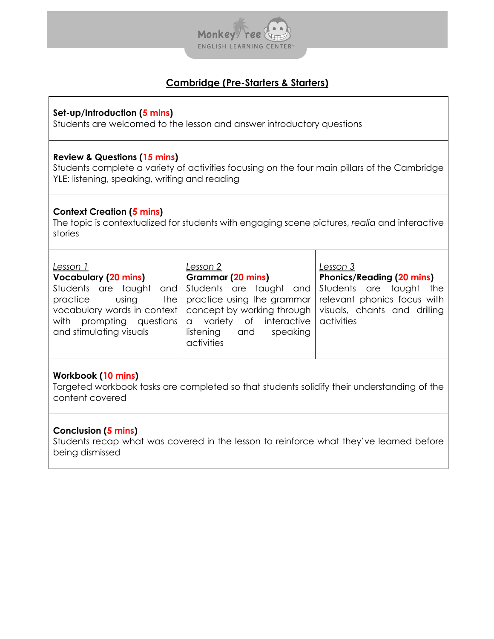

# **Cambridge (Pre-Starters & Starters)**

#### **Set-up/Introduction (5 mins)**

Students are welcomed to the lesson and answer introductory questions

#### **Review & Questions (15 mins)**

Students complete a variety of activities focusing on the four main pillars of the Cambridge YLE: listening, speaking, writing and reading

#### **Context Creation (5 mins)**

The topic is contextualized for students with engaging scene pictures, *realia* and interactive stories

| Lesson 1                    | Lesson 2                                                                                | Lesson 3                         |
|-----------------------------|-----------------------------------------------------------------------------------------|----------------------------------|
|                             |                                                                                         |                                  |
| <b>Vocabulary (20 mins)</b> | Grammar (20 mins)                                                                       | <b>Phonics/Reading (20 mins)</b> |
|                             | Students are taught and Students are taught and Students are taught the                 |                                  |
| practice<br>using           | the practice using the grammar relevant phonics focus with                              |                                  |
|                             | vocabulary words in context   concept by working through   visuals, chants and drilling |                                  |
|                             | with prompting questions   a variety of interactive                                     | activities                       |
| and stimulating visuals     | listening<br>speaking<br>and                                                            |                                  |
|                             | activities                                                                              |                                  |
|                             |                                                                                         |                                  |

## **Workbook (10 mins)**

Targeted workbook tasks are completed so that students solidify their understanding of the content covered

## **Conclusion (5 mins)**

Students recap what was covered in the lesson to reinforce what they've learned before being dismissed